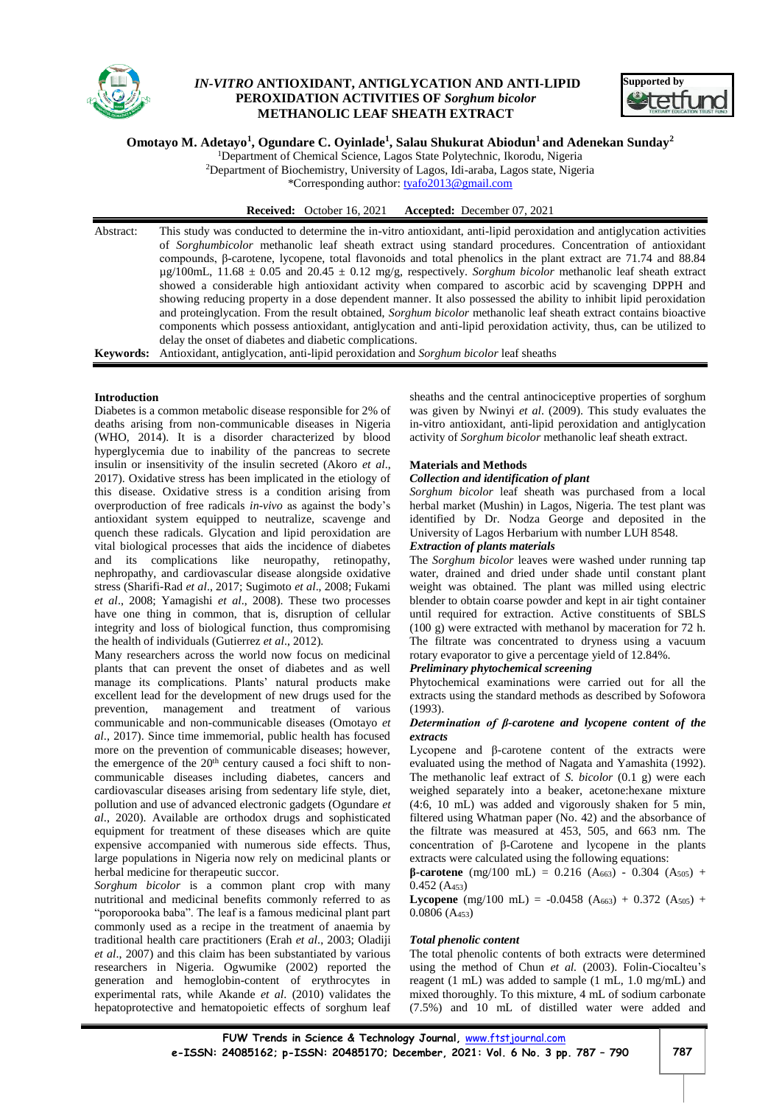

# *IN-VITRO* **ANTIOXIDANT, ANTIGLYCATION AND ANTI-LIPID PEROXIDATION ACTIVITIES OF** *Sorghum bicolor*  **METHANOLIC LEAF SHEATH EXTRACT**



**Omotayo M. Adetayo<sup>1</sup> , Ogundare C. Oyinlade<sup>1</sup> , Salau Shukurat Abiodun<sup>1</sup>and Adenekan Sunday<sup>2</sup>**

<sup>1</sup>Department of Chemical Science, Lagos State Polytechnic, Ikorodu, Nigeria <sup>2</sup>Department of Biochemistry, University of Lagos, Idi-araba, Lagos state, Nigeria \*Corresponding author[: tyafo2013@gmail.com](mailto:tyafo2013@gmail.com)

**Received:** October 16, 2021 **Accepted:** December 07, 2021

| Abstract: | This study was conducted to determine the in-vitro antioxidant, anti-lipid peroxidation and antigly cation activities                                                                                                            |
|-----------|----------------------------------------------------------------------------------------------------------------------------------------------------------------------------------------------------------------------------------|
|           | of <i>Sorghumbicolor</i> methanolic leaf sheath extract using standard procedures. Concentration of antioxidant                                                                                                                  |
|           | compounds, $\beta$ -carotene, lycopene, total flavonoids and total phenolics in the plant extract are 71.74 and 88.84                                                                                                            |
|           | $\mu$ g/100mL, 11.68 $\pm$ 0.05 and 20.45 $\pm$ 0.12 mg/g, respectively. Sorghum bicolor methanolic leaf sheath extract                                                                                                          |
|           | showed a considerable high antioxidant activity when compared to ascorbic acid by scavenging DPPH and                                                                                                                            |
|           | showing reducing property in a dose dependent manner. It also possessed the ability to inhibit lipid peroxidation                                                                                                                |
|           | and proteingly cation. From the result obtained, Sorghum bicolor methanolic leaf sheath extract contains bioactive                                                                                                               |
|           | components which possess antioxidant, antiglycation and anti-lipid peroxidation activity, thus, can be utilized to                                                                                                               |
|           | delay the onset of diabetes and diabetic complications.                                                                                                                                                                          |
|           | $\boldsymbol{V}$ according the Australian contribution of the distribution of $\boldsymbol{\theta}$ and $\boldsymbol{\theta}$ and $\boldsymbol{V}$ and $\boldsymbol{\theta}$ and $\boldsymbol{\theta}$ and $\boldsymbol{\theta}$ |

**Keywords:** Antioxidant, antiglycation, anti-lipid peroxidation and *Sorghum bicolor* leaf sheaths

## **Introduction**

Diabetes is a common metabolic disease responsible for 2% of deaths arising from non-communicable diseases in Nigeria (WHO, 2014). It is a disorder characterized by blood hyperglycemia due to inability of the pancreas to secrete insulin or insensitivity of the insulin secreted (Akoro *et al*., 2017). Oxidative stress has been implicated in the etiology of this disease. Oxidative stress is a condition arising from overproduction of free radicals *in-vivo* as against the body's antioxidant system equipped to neutralize, scavenge and quench these radicals. Glycation and lipid peroxidation are vital biological processes that aids the incidence of diabetes and its complications like neuropathy, retinopathy, nephropathy, and cardiovascular disease alongside oxidative stress (Sharifi-Rad *et al*., 2017; Sugimoto *et al*., 2008; Fukami *et al*., 2008; Yamagishi *et al*., 2008). These two processes have one thing in common, that is, disruption of cellular integrity and loss of biological function, thus compromising the health of individuals (Gutierrez *et al*., 2012).

Many researchers across the world now focus on medicinal plants that can prevent the onset of diabetes and as well manage its complications. Plants' natural products make excellent lead for the development of new drugs used for the prevention, management and treatment of various communicable and non-communicable diseases (Omotayo *et al*., 2017). Since time immemorial, public health has focused more on the prevention of communicable diseases; however, the emergence of the 20<sup>th</sup> century caused a foci shift to noncommunicable diseases including diabetes, cancers and cardiovascular diseases arising from sedentary life style, diet, pollution and use of advanced electronic gadgets (Ogundare *et al*., 2020). Available are orthodox drugs and sophisticated equipment for treatment of these diseases which are quite expensive accompanied with numerous side effects. Thus, large populations in Nigeria now rely on medicinal plants or herbal medicine for therapeutic succor.

*Sorghum bicolor* is a common plant crop with many nutritional and medicinal benefits commonly referred to as "poroporooka baba". The leaf is a famous medicinal plant part commonly used as a recipe in the treatment of anaemia by traditional health care practitioners (Erah *et al*., 2003; Oladiji *et al*., 2007) and this claim has been substantiated by various researchers in Nigeria. Ogwumike (2002) reported the generation and hemoglobin-content of erythrocytes in experimental rats, while Akande *et al*. (2010) validates the hepatoprotective and hematopoietic effects of sorghum leaf sheaths and the central antinociceptive properties of sorghum was given by Nwinyi *et al*. (2009). This study evaluates the in-vitro antioxidant, anti-lipid peroxidation and antiglycation activity of *Sorghum bicolor* methanolic leaf sheath extract.

## **Materials and Methods**

## *Collection and identification of plant*

*Sorghum bicolor* leaf sheath was purchased from a local herbal market (Mushin) in Lagos, Nigeria. The test plant was identified by Dr. Nodza George and deposited in the University of Lagos Herbarium with number LUH 8548.

### *Extraction of plants materials*

The *Sorghum bicolor* leaves were washed under running tap water, drained and dried under shade until constant plant weight was obtained. The plant was milled using electric blender to obtain coarse powder and kept in air tight container until required for extraction. Active constituents of SBLS (100 g) were extracted with methanol by maceration for 72 h. The filtrate was concentrated to dryness using a vacuum rotary evaporator to give a percentage yield of 12.84%.

## *Preliminary phytochemical screening*

Phytochemical examinations were carried out for all the extracts using the standard methods as described by Sofowora (1993).

### *Determination of β-carotene and lycopene content of the extracts*

Lycopene and β-carotene content of the extracts were evaluated using the method of Nagata and Yamashita (1992). The methanolic leaf extract of *S. bicolor* (0.1 g) were each weighed separately into a beaker, acetone:hexane mixture (4:6, 10 mL) was added and vigorously shaken for 5 min, filtered using Whatman paper (No. 42) and the absorbance of the filtrate was measured at 453, 505, and 663 nm. The concentration of β-Carotene and lycopene in the plants extracts were calculated using the following equations:

**β-carotene** (mg/100 mL) = 0.216 (A<sub>663</sub>) - 0.304 (A<sub>505</sub>) + 0.452 (A453)

**Lycopene** (mg/100 mL) =  $-0.0458$  (A<sub>663</sub>) + 0.372 (A<sub>505</sub>) + 0.0806 (A453)

## *Total phenolic content*

The total phenolic contents of both extracts were determined using the method of Chun *et al.* (2003). Folin-Ciocalteu's reagent (1 mL) was added to sample (1 mL, 1.0 mg/mL) and mixed thoroughly. To this mixture, 4 mL of sodium carbonate (7.5%) and 10 mL of distilled water were added and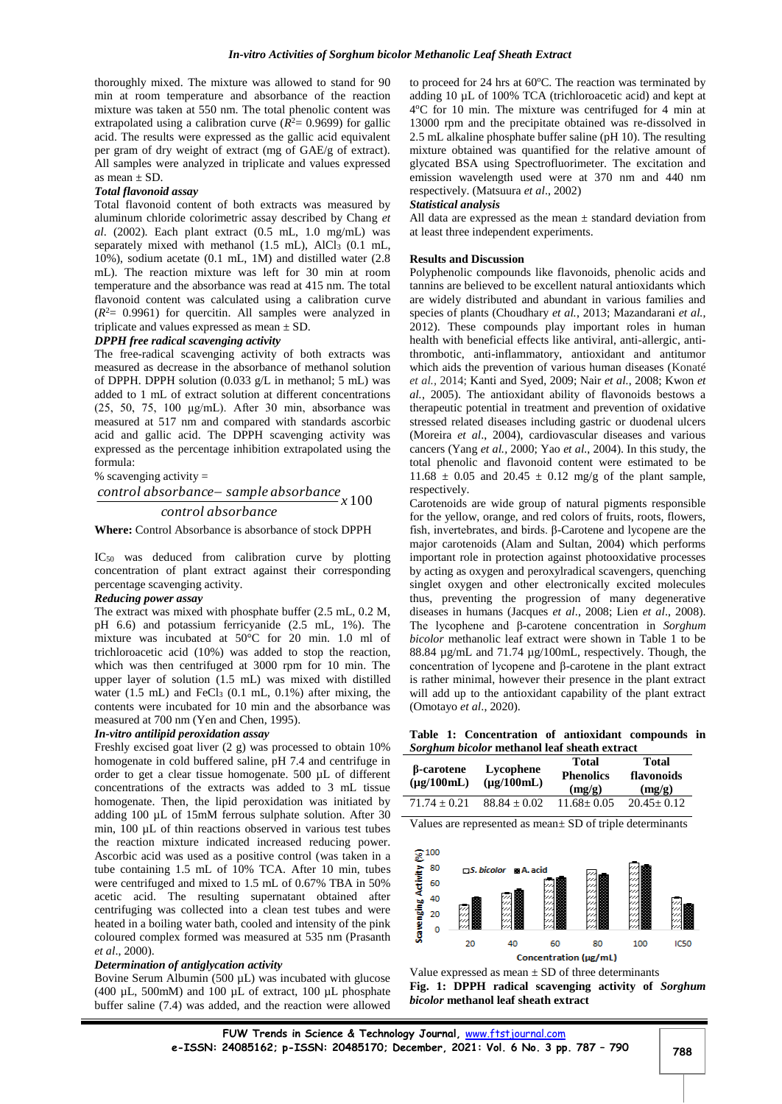thoroughly mixed. The mixture was allowed to stand for 90 min at room temperature and absorbance of the reaction mixture was taken at 550 nm. The total phenolic content was extrapolated using a calibration curve ( $R<sup>2</sup> = 0.9699$ ) for gallic acid. The results were expressed as the gallic acid equivalent per gram of dry weight of extract (mg of GAE/g of extract). All samples were analyzed in triplicate and values expressed as mean  $\pm$  SD.

### *Total flavonoid assay*

Total flavonoid content of both extracts was measured by aluminum chloride colorimetric assay described by Chang *et al*. (2002). Each plant extract (0.5 mL, 1.0 mg/mL) was separately mixed with methanol (1.5 mL), AlCl<sub>3</sub> (0.1 mL, 10%), sodium acetate (0.1 mL, 1M) and distilled water (2.8 mL). The reaction mixture was left for 30 min at room temperature and the absorbance was read at 415 nm. The total flavonoid content was calculated using a calibration curve  $(R<sup>2</sup>= 0.9961)$  for quercitin. All samples were analyzed in triplicate and values expressed as mean ± SD.

### *DPPH free radical scavenging activity*

The free-radical scavenging activity of both extracts was measured as decrease in the absorbance of methanol solution of DPPH. DPPH solution  $(0.033 \text{ g/L} \text{ in methanol}; 5 \text{ mL})$  was added to 1 mL of extract solution at different concentrations (25, 50, 75, 100 μg/mL). After 30 min, absorbance was measured at 517 nm and compared with standards ascorbic acid and gallic acid. The DPPH scavenging activity was expressed as the percentage inhibition extrapolated using the formula:

% scavenging activity  $=$ 

*<sup>x</sup>* 100 *control absorbance sample absorbance control absorbance*

**Where:** Control Absorbance is absorbance of stock DPPH

IC<sup>50</sup> was deduced from calibration curve by plotting concentration of plant extract against their corresponding percentage scavenging activity.

#### *Reducing power assay*

The extract was mixed with phosphate buffer (2.5 mL, 0.2 M, pH 6.6) and potassium ferricyanide (2.5 mL, 1%). The mixture was incubated at 50°C for 20 min. 1.0 ml of trichloroacetic acid (10%) was added to stop the reaction, which was then centrifuged at 3000 rpm for 10 min. The upper layer of solution (1.5 mL) was mixed with distilled water  $(1.5 \text{ mL})$  and FeCl<sub>3</sub>  $(0.1 \text{ mL}, 0.1\%)$  after mixing, the contents were incubated for 10 min and the absorbance was measured at 700 nm (Yen and Chen, 1995).

#### *In-vitro antilipid peroxidation assay*

Freshly excised goat liver (2 g) was processed to obtain 10% homogenate in cold buffered saline, pH 7.4 and centrifuge in order to get a clear tissue homogenate. 500 µL of different concentrations of the extracts was added to 3 mL tissue homogenate. Then, the lipid peroxidation was initiated by adding 100 µL of 15mM ferrous sulphate solution. After 30 min, 100 uL of thin reactions observed in various test tubes the reaction mixture indicated increased reducing power. Ascorbic acid was used as a positive control (was taken in a tube containing 1.5 mL of 10% TCA. After 10 min, tubes were centrifuged and mixed to 1.5 mL of 0.67% TBA in 50% acetic acid. The resulting supernatant obtained after centrifuging was collected into a clean test tubes and were heated in a boiling water bath, cooled and intensity of the pink coloured complex formed was measured at 535 nm (Prasanth *et al*., 2000).

#### *Determination of antiglycation activity*

Bovine Serum Albumin (500  $\mu$ L) was incubated with glucose (400 µL, 500mM) and 100 µL of extract, 100 µL phosphate buffer saline (7.4) was added, and the reaction were allowed to proceed for 24 hrs at  $60^{\circ}$ C. The reaction was terminated by adding 10 µL of 100% TCA (trichloroacetic acid) and kept at 4 <sup>o</sup>C for 10 min. The mixture was centrifuged for 4 min at 13000 rpm and the precipitate obtained was re-dissolved in 2.5 mL alkaline phosphate buffer saline (pH 10). The resulting mixture obtained was quantified for the relative amount of glycated BSA using Spectrofluorimeter. The excitation and emission wavelength used were at 370 nm and 440 nm respectively. (Matsuura *et al*., 2002)

#### *Statistical analysis*

All data are expressed as the mean  $\pm$  standard deviation from at least three independent experiments.

### **Results and Discussion**

Polyphenolic compounds like flavonoids, phenolic acids and tannins are believed to be excellent natural antioxidants which are widely distributed and abundant in various families and species of plants (Choudhary *et al.*, 2013; Mazandarani *et al.*, 2012). These compounds play important roles in human health with beneficial effects like antiviral, anti-allergic, antithrombotic, anti-inflammatory, antioxidant and antitumor which aids the prevention of various human diseases (Konaté *et al.,* 2014; Kanti and Syed, 2009; Nair *et al.*, 2008; Kwon *et al.*, 2005). The antioxidant ability of flavonoids bestows a therapeutic potential in treatment and prevention of oxidative stressed related diseases including gastric or duodenal ulcers (Moreira *et al*., 2004), cardiovascular diseases and various cancers (Yang *et al.,* 2000; Yao *et al.*, 2004). In this study, the total phenolic and flavonoid content were estimated to be  $11.68 \pm 0.05$  and  $20.45 \pm 0.12$  mg/g of the plant sample, respectively.

Carotenoids are wide group of natural pigments responsible for the yellow, orange, and red colors of fruits, roots, flowers, fish, invertebrates, and birds. β-Carotene and lycopene are the major carotenoids (Alam and Sultan, 2004) which performs important role in protection against photooxidative processes by acting as oxygen and peroxylradical scavengers, quenching singlet oxygen and other electronically excited molecules thus, preventing the progression of many degenerative diseases in humans (Jacques *et al*., 2008; Lien *et al*., 2008). The lycophene and β-carotene concentration in *Sorghum bicolor* methanolic leaf extract were shown in Table 1 to be 88.84 µg/mL and 71.74 µg/100mL, respectively. Though, the concentration of lycopene and β-carotene in the plant extract is rather minimal, however their presence in the plant extract will add up to the antioxidant capability of the plant extract (Omotayo *et al*., 2020).

**Table 1: Concentration of antioxidant compounds in**  *Sorghum bicolor* **methanol leaf sheath extract**

| β-carotene<br>$(\mu$ g/100mL) | Lycophene<br>$(\mu$ g/100mL) | Total<br><b>Phenolics</b><br>(mg/g) | Total<br>flavonoids<br>(mg/g) |
|-------------------------------|------------------------------|-------------------------------------|-------------------------------|
| $71.74 + 0.21$                | $88.84 + 0.02$               | $11.68 + 0.05$                      | $20.45+0.12$                  |

Values are represented as mean± SD of triple determinants



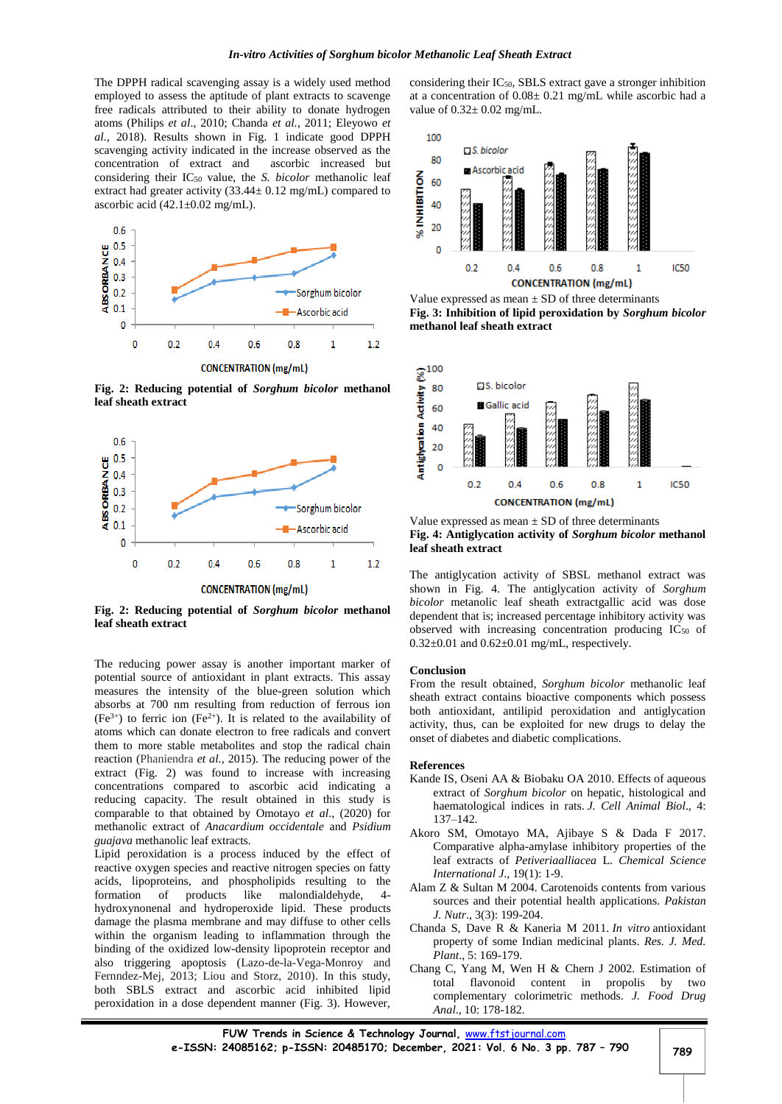The DPPH radical scavenging assay is a widely used method employed to assess the aptitude of plant extracts to scavenge free radicals attributed to their ability to donate hydrogen atoms (Philips *et al*., 2010; Chanda *et al.*, 2011; Eleyowo *et al*., 2018). Results shown in Fig. 1 indicate good DPPH scavenging activity indicated in the increase observed as the concentration of extract and ascorbic increased but considering their IC<sup>50</sup> value, the *S. bicolor* methanolic leaf extract had greater activity  $(33.44 \pm 0.12 \text{ mg/mL})$  compared to ascorbic acid  $(42.1 \pm 0.02 \text{ mg/mL})$ .



**Fig. 2: Reducing potential of** *Sorghum bicolor* **methanol leaf sheath extract**



**Fig. 2: Reducing potential of** *Sorghum bicolor* **methanol leaf sheath extract**

The reducing power assay is another important marker of potential source of antioxidant in plant extracts. This assay measures the intensity of the blue-green solution which absorbs at 700 nm resulting from reduction of ferrous ion  $(Fe^{3+})$  to ferric ion  $(Fe^{2+})$ . It is related to the availability of atoms which can donate electron to free radicals and convert them to more stable metabolites and stop the radical chain reaction (Phaniendra *et al.,* 2015). The reducing power of the extract (Fig. 2) was found to increase with increasing concentrations compared to ascorbic acid indicating a reducing capacity. The result obtained in this study is comparable to that obtained by Omotayo *et al*., (2020) for methanolic extract of *Anacardium occidentale* and *Psidium guajava* methanolic leaf extracts.

Lipid peroxidation is a process induced by the effect of reactive oxygen species and reactive nitrogen species on fatty acids, lipoproteins, and phospholipids resulting to the formation of products like malondialdehyde, 4 hydroxynonenal and hydroperoxide lipid. These products damage the plasma membrane and may diffuse to other cells within the organism leading to inflammation through the binding of the oxidized low-density lipoprotein receptor and also triggering apoptosis (Lazo-de-la-Vega-Monroy and Fernndez-Mej, 2013; Liou and Storz, 2010). In this study, both SBLS extract and ascorbic acid inhibited lipid peroxidation in a dose dependent manner (Fig. 3). However,

considering their IC50, SBLS extract gave a stronger inhibition at a concentration of 0.08± 0.21 mg/mL while ascorbic had a value of  $0.32 \pm 0.02$  mg/mL.



Value expressed as mean  $+$  SD of three determinants **Fig. 3: Inhibition of lipid peroxidation by** *Sorghum bicolor* **methanol leaf sheath extract**



Value expressed as mean  $\pm$  SD of three determinants **Fig. 4: Antiglycation activity of** *Sorghum bicolor* **methanol leaf sheath extract**

The antiglycation activity of SBSL methanol extract was shown in Fig. 4. The antiglycation activity of *Sorghum bicolor* metanolic leaf sheath extractgallic acid was dose dependent that is; increased percentage inhibitory activity was observed with increasing concentration producing IC<sup>50</sup> of  $0.32\pm0.01$  and  $0.62\pm0.01$  mg/mL, respectively.

### **Conclusion**

From the result obtained, *Sorghum bicolor* methanolic leaf sheath extract contains bioactive components which possess both antioxidant, antilipid peroxidation and antiglycation activity, thus, can be exploited for new drugs to delay the onset of diabetes and diabetic complications.

### **References**

- Kande IS, Oseni AA & Biobaku OA 2010. Effects of aqueous extract of *Sorghum bicolor* on hepatic, histological and haematological indices in rats. *J. Cell Animal Biol*., 4: 137–142.
- Akoro SM, Omotayo MA, Ajibaye S & Dada F 2017. Comparative alpha-amylase inhibitory properties of the leaf extracts of *Petiveriaalliacea* L. *Chemical Science International J*.*,* 19(1): 1-9.
- Alam Z & Sultan M 2004. Carotenoids contents from various sources and their potential health applications. *Pakistan J. Nutr*., 3(3): 199-204.
- Chanda S, Dave R & Kaneria M 2011. *In vitro* antioxidant property of some Indian medicinal plants. *Res. J. Med. Plant*., 5: 169-179.
- Chang C, Yang M, Wen H & Chern J 2002. Estimation of total flavonoid content in propolis by two complementary colorimetric methods. *J. Food Drug Anal*., 10: 178-182.